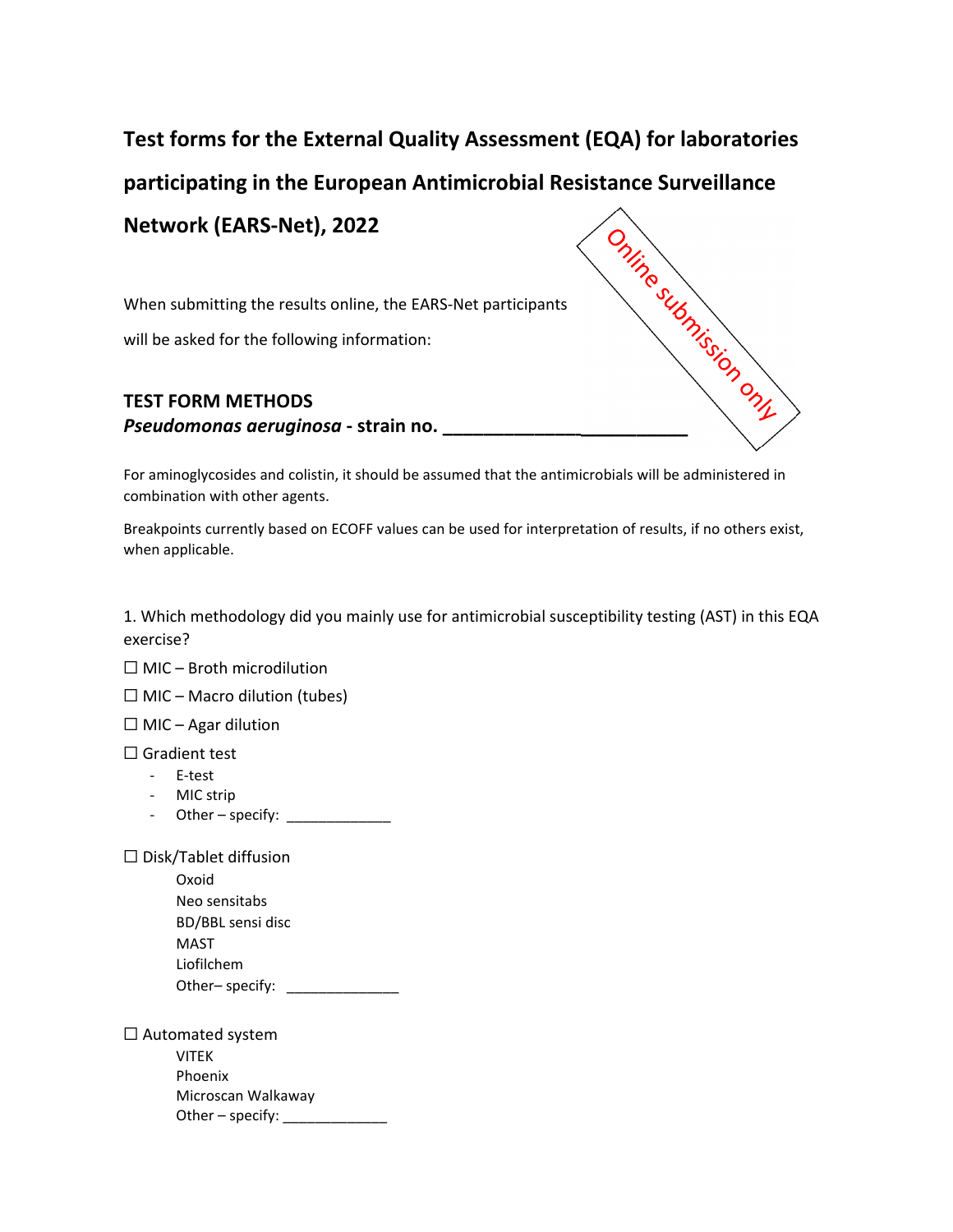## **Test forms for the External Quality Assessment (EQA) for laboratories**

**participating in the European Antimicrobial Resistance Surveillance**

**Network (EARS‐Net), 2022**

When submitting the results online, the EARS‐Net participants

will be asked for the following information:

## **TEST FORM METHODS Propagator CONDOCATA CONDUCT ACT ACTS ARE ARRES ARE ARRES Net posterior will be asked for the following information:<br>
<b>PEST FORM METHODS**<br> **Pseudomonas aeruginosa** - strain no.

For aminoglycosides and colistin, it should be assumed that the antimicrobials will be administered in combination with other agents.

Breakpoints currently based on ECOFF values can be used for interpretation of results, if no others exist, when applicable.

1. Which methodology did you mainly use for antimicrobial susceptibility testing (AST) in this EQA exercise?

 $\Box$  MIC – Broth microdilution

 $\Box$  MIC – Macro dilution (tubes)

 $\Box$  MIC – Agar dilution

□ Gradient test

- ‐ E‐test
- ‐ MIC strip
- ‐ Other specify: \_\_\_\_\_\_\_\_\_\_\_\_\_

☐ Disk/Tablet diffusion

Oxoid Neo sensitabs BD/BBL sensi disc MAST Liofilchem Other– specify: \_\_\_\_\_\_\_\_\_\_\_\_\_\_\_

☐ Automated system VITEK Phoenix Microscan Walkaway Other – specify: \_\_\_\_\_\_\_\_\_\_\_\_\_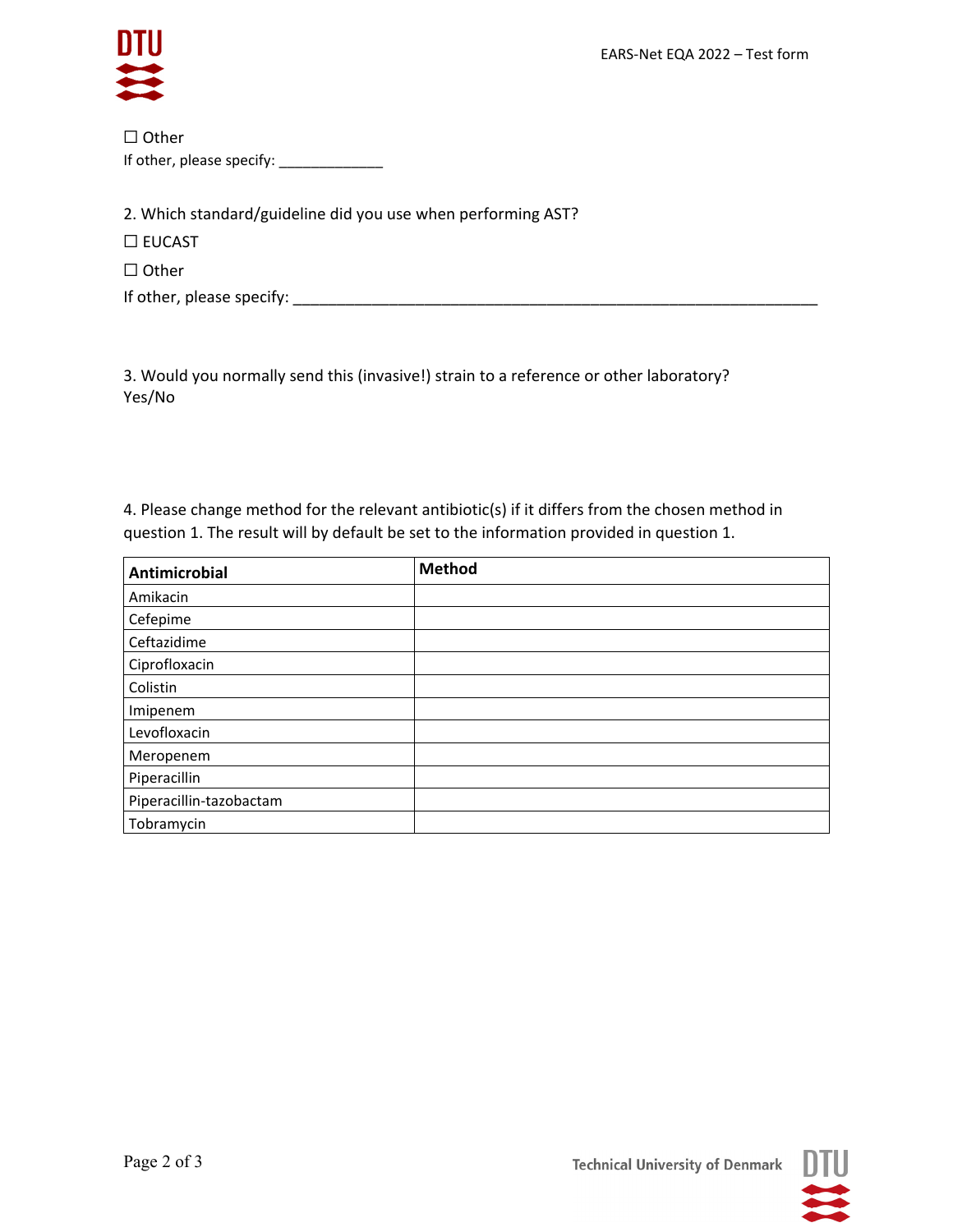

| $\Box$ Other              |
|---------------------------|
| If other, please specify: |

2. Which standard/guideline did you use when performing AST?

☐ EUCAST

☐ Other

If other, please specify: \_\_\_\_\_\_\_\_\_\_\_\_\_\_\_\_\_\_\_\_\_\_\_\_\_\_\_\_\_\_\_\_\_\_\_\_\_\_\_\_\_\_\_\_\_\_\_\_\_\_\_\_\_\_\_\_\_\_\_\_

3. Would you normally send this (invasive!) strain to a reference or other laboratory? Yes/No

4. Please change method for the relevant antibiotic(s) if it differs from the chosen method in question 1. The result will by default be set to the information provided in question 1.

| Antimicrobial           | <b>Method</b> |
|-------------------------|---------------|
| Amikacin                |               |
| Cefepime                |               |
| Ceftazidime             |               |
| Ciprofloxacin           |               |
| Colistin                |               |
| Imipenem                |               |
| Levofloxacin            |               |
| Meropenem               |               |
| Piperacillin            |               |
| Piperacillin-tazobactam |               |
| Tobramycin              |               |



**Technical University of Denmark**